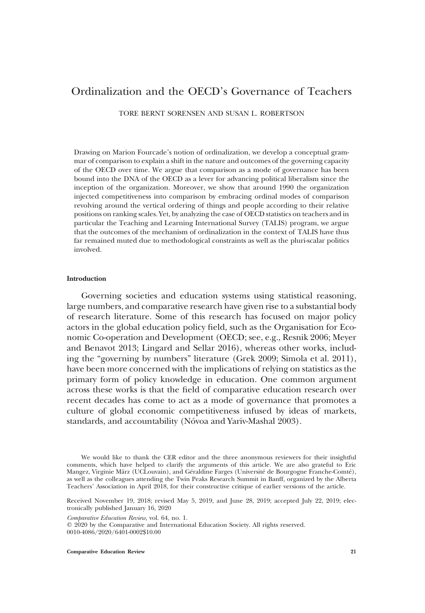# Ordinalization and the OECD's Governance of Teachers

TORE BERNT SORENSEN AND SUSAN L. ROBERTSON

Drawing on Marion Fourcade's notion of ordinalization, we develop a conceptual grammar of comparison to explain a shift in the nature and outcomes of the governing capacity of the OECD over time. We argue that comparison as a mode of governance has been bound into the DNA of the OECD as a lever for advancing political liberalism since the inception of the organization. Moreover, we show that around 1990 the organization injected competitiveness into comparison by embracing ordinal modes of comparison revolving around the vertical ordering of things and people according to their relative positions on ranking scales. Yet, by analyzing the case of OECD statistics on teachers and in particular the Teaching and Learning International Survey (TALIS) program, we argue that the outcomes of the mechanism of ordinalization in the context of TALIS have thus far remained muted due to methodological constraints as well as the pluri-scalar politics involved.

## Introduction

Governing societies and education systems using statistical reasoning, large numbers, and comparative research have given rise to a substantial body of research literature. Some of this research has focused on major policy actors in the global education policy field, such as the Organisation for Economic Co-operation and Development (OECD; see, e.g., Resnik 2006; Meyer and Benavot 2013; Lingard and Sellar 2016), whereas other works, including the "governing by numbers" literature (Grek 2009; Simola et al. 2011), have been more concerned with the implications of relying on statistics as the primary form of policy knowledge in education. One common argument across these works is that the field of comparative education research over recent decades has come to act as a mode of governance that promotes a culture of global economic competitiveness infused by ideas of markets, standards, and accountability (Nóvoa and Yariv-Mashal 2003).

Comparative Education Review, vol. 64, no. 1.

 $Q$  2020 by the Comparative and International Education Society. All rights reserved. 0010-4086/2020/6401-0002\$10.00

Comparative Education Review 21

We would like to thank the CER editor and the three anonymous reviewers for their insightful comments, which have helped to clarify the arguments of this article. We are also grateful to Eric Mangez, Virginie März (UCLouvain), and Géraldine Farges (Université de Bourgogne Franche-Comté), as well as the colleagues attending the Twin Peaks Research Summit in Banff, organized by the Alberta Teachers' Association in April 2018, for their constructive critique of earlier versions of the article.

Received November 19, 2018; revised May 5, 2019, and June 28, 2019; accepted July 22, 2019; electronically published January 16, 2020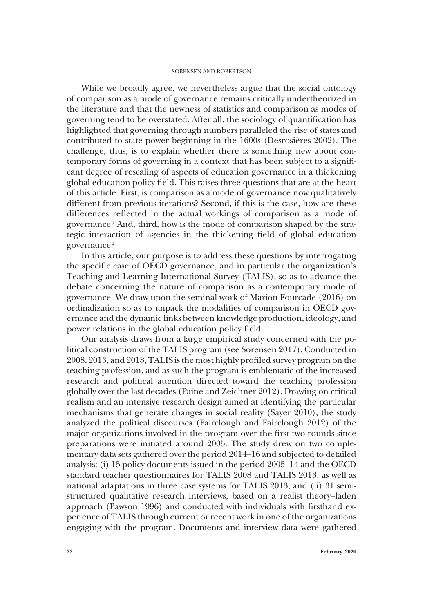While we broadly agree, we nevertheless argue that the social ontology of comparison as a mode of governance remains critically undertheorized in the literature and that the newness of statistics and comparison as modes of governing tend to be overstated. After all, the sociology of quantification has highlighted that governing through numbers paralleled the rise of states and contributed to state power beginning in the 1600s (Desrosières 2002). The challenge, thus, is to explain whether there is something new about contemporary forms of governing in a context that has been subject to a significant degree of rescaling of aspects of education governance in a thickening global education policy field. This raises three questions that are at the heart of this article. First, is comparison as a mode of governance now qualitatively different from previous iterations? Second, if this is the case, how are these differences reflected in the actual workings of comparison as a mode of governance? And, third, how is the mode of comparison shaped by the strategic interaction of agencies in the thickening field of global education governance?

In this article, our purpose is to address these questions by interrogating the specific case of OECD governance, and in particular the organization's Teaching and Learning International Survey (TALIS), so as to advance the debate concerning the nature of comparison as a contemporary mode of governance. We draw upon the seminal work of Marion Fourcade (2016) on ordinalization so as to unpack the modalities of comparison in OECD governance and the dynamic links between knowledge production, ideology, and power relations in the global education policy field.

Our analysis draws from a large empirical study concerned with the political construction of the TALIS program (see Sorensen 2017). Conducted in 2008, 2013, and 2018, TALIS is the most highly profiled survey program on the teaching profession, and as such the program is emblematic of the increased research and political attention directed toward the teaching profession globally over the last decades (Paine and Zeichner 2012). Drawing on critical realism and an intensive research design aimed at identifying the particular mechanisms that generate changes in social reality (Sayer 2010), the study analyzed the political discourses (Fairclough and Fairclough 2012) of the major organizations involved in the program over the first two rounds since preparations were initiated around 2005. The study drew on two complementary data sets gathered over the period 2014–16 and subjected to detailed analysis: (i) 15 policy documents issued in the period 2005–14 and the OECD standard teacher questionnaires for TALIS 2008 and TALIS 2013, as well as national adaptations in three case systems for TALIS 2013; and (ii) 31 semistructured qualitative research interviews, based on a realist theory–laden approach (Pawson 1996) and conducted with individuals with firsthand experience of TALIS through current or recent work in one of the organizations engaging with the program. Documents and interview data were gathered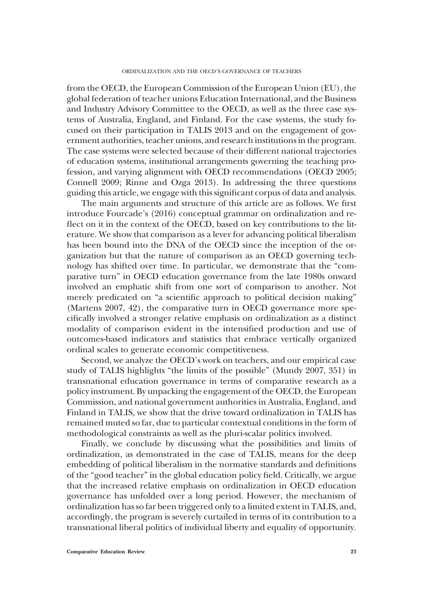from the OECD, the European Commission of the European Union (EU), the global federation of teacher unions Education International, and the Business and Industry Advisory Committee to the OECD, as well as the three case systems of Australia, England, and Finland. For the case systems, the study focused on their participation in TALIS 2013 and on the engagement of government authorities, teacher unions, and research institutions in the program. The case systems were selected because of their different national trajectories of education systems, institutional arrangements governing the teaching profession, and varying alignment with OECD recommendations (OECD 2005; Connell 2009; Rinne and Ozga 2013). In addressing the three questions guiding this article, we engage with this significant corpus of data and analysis.

The main arguments and structure of this article are as follows. We first introduce Fourcade's (2016) conceptual grammar on ordinalization and reflect on it in the context of the OECD, based on key contributions to the literature. We show that comparison as a lever for advancing political liberalism has been bound into the DNA of the OECD since the inception of the organization but that the nature of comparison as an OECD governing technology has shifted over time. In particular, we demonstrate that the "comparative turn" in OECD education governance from the late 1980s onward involved an emphatic shift from one sort of comparison to another. Not merely predicated on "a scientific approach to political decision making" (Martens 2007, 42), the comparative turn in OECD governance more specifically involved a stronger relative emphasis on ordinalization as a distinct modality of comparison evident in the intensified production and use of outcomes-based indicators and statistics that embrace vertically organized ordinal scales to generate economic competitiveness.

Second, we analyze the OECD's work on teachers, and our empirical case study of TALIS highlights "the limits of the possible" (Mundy 2007, 351) in transnational education governance in terms of comparative research as a policy instrument. By unpacking the engagement of the OECD, the European Commission, and national government authorities in Australia, England, and Finland in TALIS, we show that the drive toward ordinalization in TALIS has remained muted so far, due to particular contextual conditions in the form of methodological constraints as well as the pluri-scalar politics involved.

Finally, we conclude by discussing what the possibilities and limits of ordinalization, as demonstrated in the case of TALIS, means for the deep embedding of political liberalism in the normative standards and definitions of the "good teacher" in the global education policy field. Critically, we argue that the increased relative emphasis on ordinalization in OECD education governance has unfolded over a long period. However, the mechanism of ordinalization has so far been triggered only to a limited extent in TALIS, and, accordingly, the program is severely curtailed in terms of its contribution to a transnational liberal politics of individual liberty and equality of opportunity.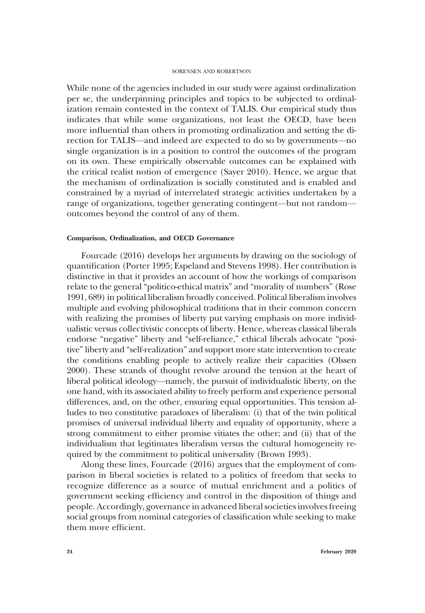While none of the agencies included in our study were against ordinalization per se, the underpinning principles and topics to be subjected to ordinalization remain contested in the context of TALIS. Our empirical study thus indicates that while some organizations, not least the OECD, have been more influential than others in promoting ordinalization and setting the direction for TALIS—and indeed are expected to do so by governments—no single organization is in a position to control the outcomes of the program on its own. These empirically observable outcomes can be explained with the critical realist notion of emergence (Sayer 2010). Hence, we argue that the mechanism of ordinalization is socially constituted and is enabled and constrained by a myriad of interrelated strategic activities undertaken by a range of organizations, together generating contingent—but not random outcomes beyond the control of any of them.

### Comparison, Ordinalization, and OECD Governance

Fourcade (2016) develops her arguments by drawing on the sociology of quantification (Porter 1995; Espeland and Stevens 1998). Her contribution is distinctive in that it provides an account of how the workings of comparison relate to the general "politico-ethical matrix" and "morality of numbers" (Rose 1991, 689) in political liberalism broadly conceived. Political liberalism involves multiple and evolving philosophical traditions that in their common concern with realizing the promises of liberty put varying emphasis on more individualistic versus collectivistic concepts of liberty. Hence, whereas classical liberals endorse "negative" liberty and "self-reliance," ethical liberals advocate "positive" liberty and "self-realization" and support more state intervention to create the conditions enabling people to actively realize their capacities (Olssen 2000). These strands of thought revolve around the tension at the heart of liberal political ideology—namely, the pursuit of individualistic liberty, on the one hand, with its associated ability to freely perform and experience personal differences, and, on the other, ensuring equal opportunities. This tension alludes to two constitutive paradoxes of liberalism: (i) that of the twin political promises of universal individual liberty and equality of opportunity, where a strong commitment to either promise vitiates the other; and (ii) that of the individualism that legitimates liberalism versus the cultural homogeneity required by the commitment to political universality (Brown 1993).

Along these lines, Fourcade (2016) argues that the employment of comparison in liberal societies is related to a politics of freedom that seeks to recognize difference as a source of mutual enrichment and a politics of government seeking efficiency and control in the disposition of things and people. Accordingly, governance in advanced liberal societies involves freeing social groups from nominal categories of classification while seeking to make them more efficient.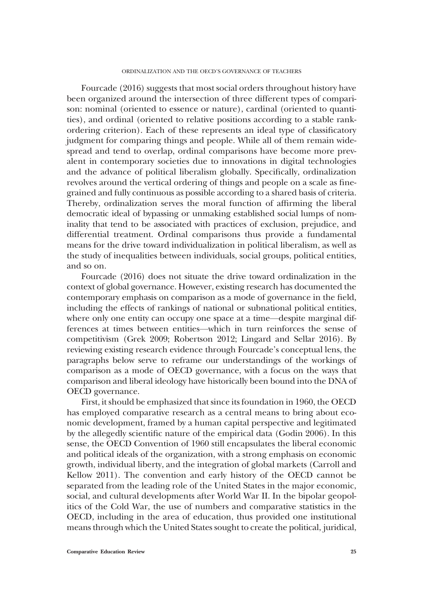Fourcade (2016) suggests that most social orders throughout history have been organized around the intersection of three different types of comparison: nominal (oriented to essence or nature), cardinal (oriented to quantities), and ordinal (oriented to relative positions according to a stable rankordering criterion). Each of these represents an ideal type of classificatory judgment for comparing things and people. While all of them remain widespread and tend to overlap, ordinal comparisons have become more prevalent in contemporary societies due to innovations in digital technologies and the advance of political liberalism globally. Specifically, ordinalization revolves around the vertical ordering of things and people on a scale as finegrained and fully continuous as possible according to a shared basis of criteria. Thereby, ordinalization serves the moral function of affirming the liberal democratic ideal of bypassing or unmaking established social lumps of nominality that tend to be associated with practices of exclusion, prejudice, and differential treatment. Ordinal comparisons thus provide a fundamental means for the drive toward individualization in political liberalism, as well as the study of inequalities between individuals, social groups, political entities, and so on.

Fourcade (2016) does not situate the drive toward ordinalization in the context of global governance. However, existing research has documented the contemporary emphasis on comparison as a mode of governance in the field, including the effects of rankings of national or subnational political entities, where only one entity can occupy one space at a time—despite marginal differences at times between entities—which in turn reinforces the sense of competitivism (Grek 2009; Robertson 2012; Lingard and Sellar 2016). By reviewing existing research evidence through Fourcade's conceptual lens, the paragraphs below serve to reframe our understandings of the workings of comparison as a mode of OECD governance, with a focus on the ways that comparison and liberal ideology have historically been bound into the DNA of OECD governance.

First, it should be emphasized that since its foundation in 1960, the OECD has employed comparative research as a central means to bring about economic development, framed by a human capital perspective and legitimated by the allegedly scientific nature of the empirical data (Godin 2006). In this sense, the OECD Convention of 1960 still encapsulates the liberal economic and political ideals of the organization, with a strong emphasis on economic growth, individual liberty, and the integration of global markets (Carroll and Kellow 2011). The convention and early history of the OECD cannot be separated from the leading role of the United States in the major economic, social, and cultural developments after World War II. In the bipolar geopolitics of the Cold War, the use of numbers and comparative statistics in the OECD, including in the area of education, thus provided one institutional means through which the United States sought to create the political, juridical,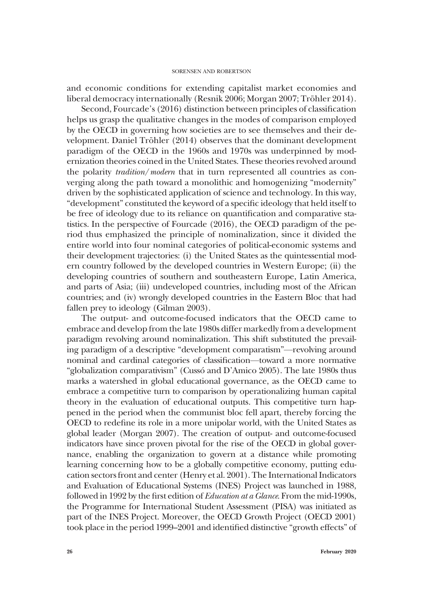and economic conditions for extending capitalist market economies and liberal democracy internationally (Resnik 2006; Morgan 2007; Tröhler 2014).

Second, Fourcade's (2016) distinction between principles of classification helps us grasp the qualitative changes in the modes of comparison employed by the OECD in governing how societies are to see themselves and their development. Daniel Tröhler (2014) observes that the dominant development paradigm of the OECD in the 1960s and 1970s was underpinned by modernization theories coined in the United States. These theories revolved around the polarity tradition/modern that in turn represented all countries as converging along the path toward a monolithic and homogenizing "modernity" driven by the sophisticated application of science and technology. In this way, "development" constituted the keyword of a specific ideology that held itself to be free of ideology due to its reliance on quantification and comparative statistics. In the perspective of Fourcade (2016), the OECD paradigm of the period thus emphasized the principle of nominalization, since it divided the entire world into four nominal categories of political-economic systems and their development trajectories: (i) the United States as the quintessential modern country followed by the developed countries in Western Europe; (ii) the developing countries of southern and southeastern Europe, Latin America, and parts of Asia; (iii) undeveloped countries, including most of the African countries; and (iv) wrongly developed countries in the Eastern Bloc that had fallen prey to ideology (Gilman 2003).

The output- and outcome-focused indicators that the OECD came to embrace and develop from the late 1980s differ markedly from a development paradigm revolving around nominalization. This shift substituted the prevailing paradigm of a descriptive "development comparatism"—revolving around nominal and cardinal categories of classification—toward a more normative "globalization comparativism" (Cussó and D'Amico 2005). The late 1980s thus marks a watershed in global educational governance, as the OECD came to embrace a competitive turn to comparison by operationalizing human capital theory in the evaluation of educational outputs. This competitive turn happened in the period when the communist bloc fell apart, thereby forcing the OECD to redefine its role in a more unipolar world, with the United States as global leader (Morgan 2007). The creation of output- and outcome-focused indicators have since proven pivotal for the rise of the OECD in global governance, enabling the organization to govern at a distance while promoting learning concerning how to be a globally competitive economy, putting education sectors front and center (Henry et al. 2001). The International Indicators and Evaluation of Educational Systems (INES) Project was launched in 1988, followed in 1992 by the first edition of Education at a Glance. From the mid-1990s, the Programme for International Student Assessment (PISA) was initiated as part of the INES Project. Moreover, the OECD Growth Project (OECD 2001) took place in the period 1999–2001 and identified distinctive "growth effects" of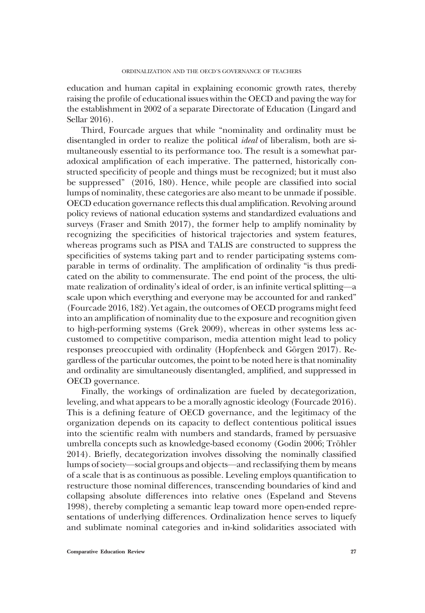education and human capital in explaining economic growth rates, thereby raising the profile of educational issues within the OECD and paving the way for the establishment in 2002 of a separate Directorate of Education (Lingard and Sellar 2016).

Third, Fourcade argues that while "nominality and ordinality must be disentangled in order to realize the political ideal of liberalism, both are simultaneously essential to its performance too. The result is a somewhat paradoxical amplification of each imperative. The patterned, historically constructed specificity of people and things must be recognized; but it must also be suppressed" (2016, 180). Hence, while people are classified into social lumps of nominality, these categories are also meant to be unmade if possible. OECD education governance reflects this dual amplification. Revolving around policy reviews of national education systems and standardized evaluations and surveys (Fraser and Smith 2017), the former help to amplify nominality by recognizing the specificities of historical trajectories and system features, whereas programs such as PISA and TALIS are constructed to suppress the specificities of systems taking part and to render participating systems comparable in terms of ordinality. The amplification of ordinality "is thus predicated on the ability to commensurate. The end point of the process, the ultimate realization of ordinality's ideal of order, is an infinite vertical splitting—a scale upon which everything and everyone may be accounted for and ranked" (Fourcade 2016, 182). Yet again, the outcomes of OECD programs might feed into an amplification of nominality due to the exposure and recognition given to high-performing systems (Grek 2009), whereas in other systems less accustomed to competitive comparison, media attention might lead to policy responses preoccupied with ordinality (Hopfenbeck and Görgen 2017). Regardless of the particular outcomes, the point to be noted here is that nominality and ordinality are simultaneously disentangled, amplified, and suppressed in OECD governance.

Finally, the workings of ordinalization are fueled by decategorization, leveling, and what appears to be a morally agnostic ideology (Fourcade 2016). This is a defining feature of OECD governance, and the legitimacy of the organization depends on its capacity to deflect contentious political issues into the scientific realm with numbers and standards, framed by persuasive umbrella concepts such as knowledge-based economy (Godin 2006; Tröhler 2014). Briefly, decategorization involves dissolving the nominally classified lumps of society—social groups and objects—and reclassifying them by means of a scale that is as continuous as possible. Leveling employs quantification to restructure those nominal differences, transcending boundaries of kind and collapsing absolute differences into relative ones (Espeland and Stevens 1998), thereby completing a semantic leap toward more open-ended representations of underlying differences. Ordinalization hence serves to liquefy and sublimate nominal categories and in-kind solidarities associated with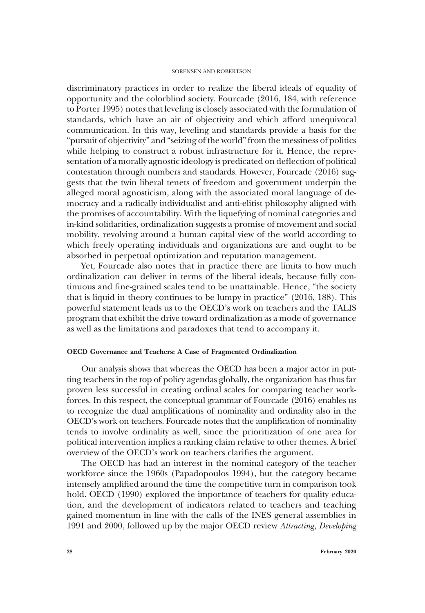discriminatory practices in order to realize the liberal ideals of equality of opportunity and the colorblind society. Fourcade (2016, 184, with reference to Porter 1995) notes that leveling is closely associated with the formulation of standards, which have an air of objectivity and which afford unequivocal communication. In this way, leveling and standards provide a basis for the "pursuit of objectivity" and "seizing of the world" from the messiness of politics while helping to construct a robust infrastructure for it. Hence, the representation of a morally agnostic ideology is predicated on deflection of political contestation through numbers and standards. However, Fourcade (2016) suggests that the twin liberal tenets of freedom and government underpin the alleged moral agnosticism, along with the associated moral language of democracy and a radically individualist and anti-elitist philosophy aligned with the promises of accountability. With the liquefying of nominal categories and in-kind solidarities, ordinalization suggests a promise of movement and social mobility, revolving around a human capital view of the world according to which freely operating individuals and organizations are and ought to be absorbed in perpetual optimization and reputation management.

Yet, Fourcade also notes that in practice there are limits to how much ordinalization can deliver in terms of the liberal ideals, because fully continuous and fine-grained scales tend to be unattainable. Hence, "the society that is liquid in theory continues to be lumpy in practice" (2016, 188). This powerful statement leads us to the OECD's work on teachers and the TALIS program that exhibit the drive toward ordinalization as a mode of governance as well as the limitations and paradoxes that tend to accompany it.

## OECD Governance and Teachers: A Case of Fragmented Ordinalization

Our analysis shows that whereas the OECD has been a major actor in putting teachers in the top of policy agendas globally, the organization has thus far proven less successful in creating ordinal scales for comparing teacher workforces. In this respect, the conceptual grammar of Fourcade (2016) enables us to recognize the dual amplifications of nominality and ordinality also in the OECD's work on teachers. Fourcade notes that the amplification of nominality tends to involve ordinality as well, since the prioritization of one area for political intervention implies a ranking claim relative to other themes. A brief overview of the OECD's work on teachers clarifies the argument.

The OECD has had an interest in the nominal category of the teacher workforce since the 1960s (Papadopoulos 1994), but the category became intensely amplified around the time the competitive turn in comparison took hold. OECD (1990) explored the importance of teachers for quality education, and the development of indicators related to teachers and teaching gained momentum in line with the calls of the INES general assemblies in 1991 and 2000, followed up by the major OECD review Attracting, Developing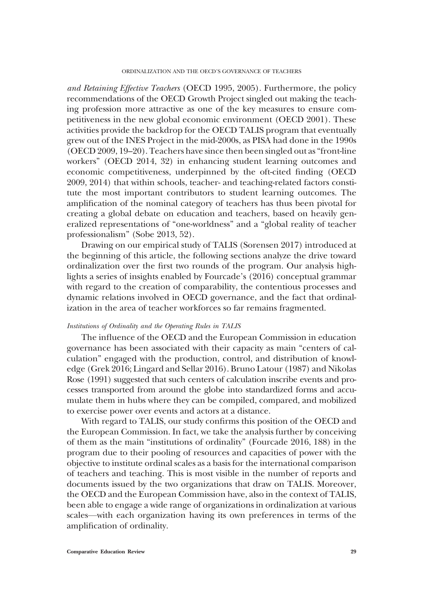and Retaining Effective Teachers (OECD 1995, 2005). Furthermore, the policy recommendations of the OECD Growth Project singled out making the teaching profession more attractive as one of the key measures to ensure competitiveness in the new global economic environment (OECD 2001). These activities provide the backdrop for the OECD TALIS program that eventually grew out of the INES Project in the mid-2000s, as PISA had done in the 1990s (OECD 2009, 19–20). Teachers have since then been singled out as"front-line workers" (OECD 2014, 32) in enhancing student learning outcomes and economic competitiveness, underpinned by the oft-cited finding (OECD 2009, 2014) that within schools, teacher- and teaching-related factors constitute the most important contributors to student learning outcomes. The amplification of the nominal category of teachers has thus been pivotal for creating a global debate on education and teachers, based on heavily generalized representations of "one-worldness" and a "global reality of teacher professionalism" (Sobe 2013, 52).

Drawing on our empirical study of TALIS (Sorensen 2017) introduced at the beginning of this article, the following sections analyze the drive toward ordinalization over the first two rounds of the program. Our analysis highlights a series of insights enabled by Fourcade's (2016) conceptual grammar with regard to the creation of comparability, the contentious processes and dynamic relations involved in OECD governance, and the fact that ordinalization in the area of teacher workforces so far remains fragmented.

## Institutions of Ordinality and the Operating Rules in TALIS

The influence of the OECD and the European Commission in education governance has been associated with their capacity as main "centers of calculation" engaged with the production, control, and distribution of knowledge (Grek 2016; Lingard and Sellar 2016). Bruno Latour (1987) and Nikolas Rose (1991) suggested that such centers of calculation inscribe events and processes transported from around the globe into standardized forms and accumulate them in hubs where they can be compiled, compared, and mobilized to exercise power over events and actors at a distance.

With regard to TALIS, our study confirms this position of the OECD and the European Commission. In fact, we take the analysis further by conceiving of them as the main "institutions of ordinality" (Fourcade 2016, 188) in the program due to their pooling of resources and capacities of power with the objective to institute ordinal scales as a basis for the international comparison of teachers and teaching. This is most visible in the number of reports and documents issued by the two organizations that draw on TALIS. Moreover, the OECD and the European Commission have, also in the context of TALIS, been able to engage a wide range of organizations in ordinalization at various scales—with each organization having its own preferences in terms of the amplification of ordinality.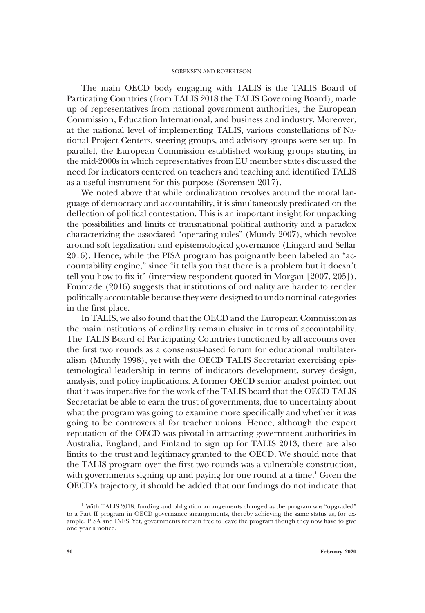The main OECD body engaging with TALIS is the TALIS Board of Particating Countries (from TALIS 2018 the TALIS Governing Board), made up of representatives from national government authorities, the European Commission, Education International, and business and industry. Moreover, at the national level of implementing TALIS, various constellations of National Project Centers, steering groups, and advisory groups were set up. In parallel, the European Commission established working groups starting in the mid-2000s in which representatives from EU member states discussed the need for indicators centered on teachers and teaching and identified TALIS as a useful instrument for this purpose (Sorensen 2017).

We noted above that while ordinalization revolves around the moral language of democracy and accountability, it is simultaneously predicated on the deflection of political contestation. This is an important insight for unpacking the possibilities and limits of transnational political authority and a paradox characterizing the associated "operating rules" (Mundy 2007), which revolve around soft legalization and epistemological governance (Lingard and Sellar 2016). Hence, while the PISA program has poignantly been labeled an "accountability engine," since "it tells you that there is a problem but it doesn't tell you how to fix it" (interview respondent quoted in Morgan [2007, 205]), Fourcade (2016) suggests that institutions of ordinality are harder to render politically accountable because they were designed to undo nominal categories in the first place.

In TALIS, we also found that the OECD and the European Commission as the main institutions of ordinality remain elusive in terms of accountability. The TALIS Board of Participating Countries functioned by all accounts over the first two rounds as a consensus-based forum for educational multilateralism (Mundy 1998), yet with the OECD TALIS Secretariat exercising epistemological leadership in terms of indicators development, survey design, analysis, and policy implications. A former OECD senior analyst pointed out that it was imperative for the work of the TALIS board that the OECD TALIS Secretariat be able to earn the trust of governments, due to uncertainty about what the program was going to examine more specifically and whether it was going to be controversial for teacher unions. Hence, although the expert reputation of the OECD was pivotal in attracting government authorities in Australia, England, and Finland to sign up for TALIS 2013, there are also limits to the trust and legitimacy granted to the OECD. We should note that the TALIS program over the first two rounds was a vulnerable construction, with governments signing up and paying for one round at a time.<sup>1</sup> Given the OECD's trajectory, it should be added that our findings do not indicate that

<sup>&</sup>lt;sup>1</sup> With TALIS 2018, funding and obligation arrangements changed as the program was "upgraded" to a Part II program in OECD governance arrangements, thereby achieving the same status as, for example, PISA and INES. Yet, governments remain free to leave the program though they now have to give one year's notice.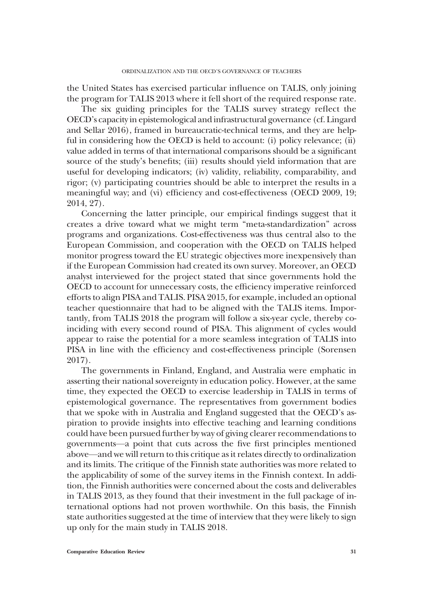the United States has exercised particular influence on TALIS, only joining the program for TALIS 2013 where it fell short of the required response rate.

The six guiding principles for the TALIS survey strategy reflect the OECD's capacity in epistemological and infrastructural governance (cf. Lingard and Sellar 2016), framed in bureaucratic-technical terms, and they are helpful in considering how the OECD is held to account: (i) policy relevance; (ii) value added in terms of that international comparisons should be a significant source of the study's benefits; (iii) results should yield information that are useful for developing indicators; (iv) validity, reliability, comparability, and rigor; (v) participating countries should be able to interpret the results in a meaningful way; and (vi) efficiency and cost-effectiveness (OECD 2009, 19; 2014, 27).

Concerning the latter principle, our empirical findings suggest that it creates a drive toward what we might term "meta-standardization" across programs and organizations. Cost-effectiveness was thus central also to the European Commission, and cooperation with the OECD on TALIS helped monitor progress toward the EU strategic objectives more inexpensively than if the European Commission had created its own survey. Moreover, an OECD analyst interviewed for the project stated that since governments hold the OECD to account for unnecessary costs, the efficiency imperative reinforced efforts to align PISA and TALIS. PISA 2015, for example, included an optional teacher questionnaire that had to be aligned with the TALIS items. Importantly, from TALIS 2018 the program will follow a six-year cycle, thereby coinciding with every second round of PISA. This alignment of cycles would appear to raise the potential for a more seamless integration of TALIS into PISA in line with the efficiency and cost-effectiveness principle (Sorensen 2017).

The governments in Finland, England, and Australia were emphatic in asserting their national sovereignty in education policy. However, at the same time, they expected the OECD to exercise leadership in TALIS in terms of epistemological governance. The representatives from government bodies that we spoke with in Australia and England suggested that the OECD's aspiration to provide insights into effective teaching and learning conditions could have been pursued further by way of giving clearer recommendations to governments—a point that cuts across the five first principles mentioned above—and we will return to this critique as it relates directly to ordinalization and its limits. The critique of the Finnish state authorities was more related to the applicability of some of the survey items in the Finnish context. In addition, the Finnish authorities were concerned about the costs and deliverables in TALIS 2013, as they found that their investment in the full package of international options had not proven worthwhile. On this basis, the Finnish state authorities suggested at the time of interview that they were likely to sign up only for the main study in TALIS 2018.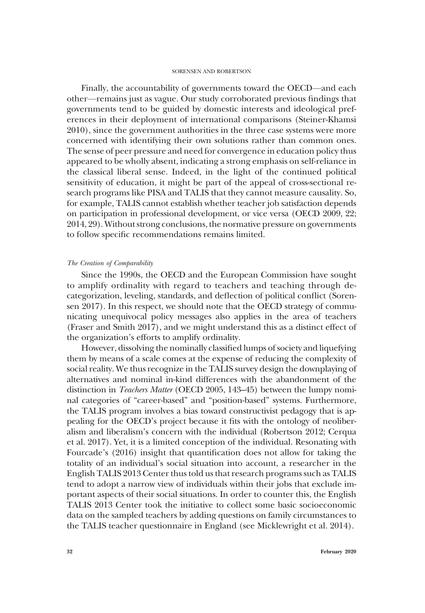Finally, the accountability of governments toward the OECD—and each other—remains just as vague. Our study corroborated previous findings that governments tend to be guided by domestic interests and ideological preferences in their deployment of international comparisons (Steiner-Khamsi 2010), since the government authorities in the three case systems were more concerned with identifying their own solutions rather than common ones. The sense of peer pressure and need for convergence in education policy thus appeared to be wholly absent, indicating a strong emphasis on self-reliance in the classical liberal sense. Indeed, in the light of the continued political sensitivity of education, it might be part of the appeal of cross-sectional research programs like PISA and TALIS that they cannot measure causality. So, for example, TALIS cannot establish whether teacher job satisfaction depends on participation in professional development, or vice versa (OECD 2009, 22; 2014, 29). Without strong conclusions, the normative pressure on governments to follow specific recommendations remains limited.

## The Creation of Comparability

Since the 1990s, the OECD and the European Commission have sought to amplify ordinality with regard to teachers and teaching through decategorization, leveling, standards, and deflection of political conflict (Sorensen 2017). In this respect, we should note that the OECD strategy of communicating unequivocal policy messages also applies in the area of teachers (Fraser and Smith 2017), and we might understand this as a distinct effect of the organization's efforts to amplify ordinality.

However, dissolving the nominally classified lumps of society and liquefying them by means of a scale comes at the expense of reducing the complexity of social reality. We thus recognize in the TALIS survey design the downplaying of alternatives and nominal in-kind differences with the abandonment of the distinction in Teachers Matter (OECD 2005, 143–45) between the lumpy nominal categories of "career-based" and "position-based" systems. Furthermore, the TALIS program involves a bias toward constructivist pedagogy that is appealing for the OECD's project because it fits with the ontology of neoliberalism and liberalism's concern with the individual (Robertson 2012; Cerqua et al. 2017). Yet, it is a limited conception of the individual. Resonating with Fourcade's (2016) insight that quantification does not allow for taking the totality of an individual's social situation into account, a researcher in the English TALIS 2013 Center thus told us that research programs such as TALIS tend to adopt a narrow view of individuals within their jobs that exclude important aspects of their social situations. In order to counter this, the English TALIS 2013 Center took the initiative to collect some basic socioeconomic data on the sampled teachers by adding questions on family circumstances to the TALIS teacher questionnaire in England (see Micklewright et al. 2014).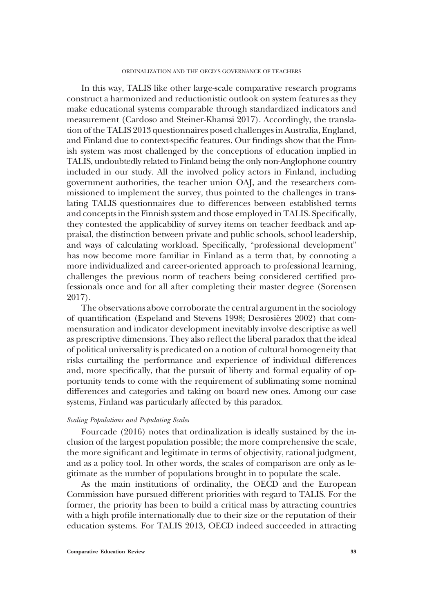In this way, TALIS like other large-scale comparative research programs construct a harmonized and reductionistic outlook on system features as they make educational systems comparable through standardized indicators and measurement (Cardoso and Steiner-Khamsi 2017). Accordingly, the translation of the TALIS 2013 questionnaires posed challenges in Australia, England, and Finland due to context-specific features. Our findings show that the Finnish system was most challenged by the conceptions of education implied in TALIS, undoubtedly related to Finland being the only non-Anglophone country included in our study. All the involved policy actors in Finland, including government authorities, the teacher union OAJ, and the researchers commissioned to implement the survey, thus pointed to the challenges in translating TALIS questionnaires due to differences between established terms and concepts in the Finnish system and those employed in TALIS. Specifically, they contested the applicability of survey items on teacher feedback and appraisal, the distinction between private and public schools, school leadership, and ways of calculating workload. Specifically, "professional development" has now become more familiar in Finland as a term that, by connoting a more individualized and career-oriented approach to professional learning, challenges the previous norm of teachers being considered certified professionals once and for all after completing their master degree (Sorensen 2017).

The observations above corroborate the central argument in the sociology of quantification (Espeland and Stevens 1998; Desrosières 2002) that commensuration and indicator development inevitably involve descriptive as well as prescriptive dimensions. They also reflect the liberal paradox that the ideal of political universality is predicated on a notion of cultural homogeneity that risks curtailing the performance and experience of individual differences and, more specifically, that the pursuit of liberty and formal equality of opportunity tends to come with the requirement of sublimating some nominal differences and categories and taking on board new ones. Among our case systems, Finland was particularly affected by this paradox.

# Scaling Populations and Populating Scales

Fourcade (2016) notes that ordinalization is ideally sustained by the inclusion of the largest population possible; the more comprehensive the scale, the more significant and legitimate in terms of objectivity, rational judgment, and as a policy tool. In other words, the scales of comparison are only as legitimate as the number of populations brought in to populate the scale.

As the main institutions of ordinality, the OECD and the European Commission have pursued different priorities with regard to TALIS. For the former, the priority has been to build a critical mass by attracting countries with a high profile internationally due to their size or the reputation of their education systems. For TALIS 2013, OECD indeed succeeded in attracting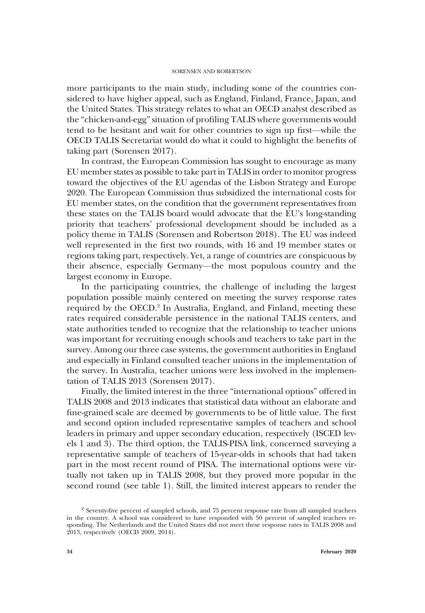more participants to the main study, including some of the countries considered to have higher appeal, such as England, Finland, France, Japan, and the United States. This strategy relates to what an OECD analyst described as the "chicken-and-egg"situation of profiling TALIS where governments would tend to be hesitant and wait for other countries to sign up first—while the OECD TALIS Secretariat would do what it could to highlight the benefits of taking part (Sorensen 2017).

In contrast, the European Commission has sought to encourage as many EU member states as possible to take part in TALIS in order to monitor progress toward the objectives of the EU agendas of the Lisbon Strategy and Europe 2020. The European Commission thus subsidized the international costs for EU member states, on the condition that the government representatives from these states on the TALIS board would advocate that the EU's long-standing priority that teachers' professional development should be included as a policy theme in TALIS (Sorensen and Robertson 2018). The EU was indeed well represented in the first two rounds, with 16 and 19 member states or regions taking part, respectively. Yet, a range of countries are conspicuous by their absence, especially Germany—the most populous country and the largest economy in Europe.

In the participating countries, the challenge of including the largest population possible mainly centered on meeting the survey response rates required by the OECD.<sup>2</sup> In Australia, England, and Finland, meeting these rates required considerable persistence in the national TALIS centers, and state authorities tended to recognize that the relationship to teacher unions was important for recruiting enough schools and teachers to take part in the survey. Among our three case systems, the government authorities in England and especially in Finland consulted teacher unions in the implementation of the survey. In Australia, teacher unions were less involved in the implementation of TALIS 2013 (Sorensen 2017).

Finally, the limited interest in the three "international options" offered in TALIS 2008 and 2013 indicates that statistical data without an elaborate and fine-grained scale are deemed by governments to be of little value. The first and second option included representative samples of teachers and school leaders in primary and upper secondary education, respectively (ISCED levels 1 and 3). The third option, the TALIS-PISA link, concerned surveying a representative sample of teachers of 15-year-olds in schools that had taken part in the most recent round of PISA. The international options were virtually not taken up in TALIS 2008, but they proved more popular in the second round (see table 1). Still, the limited interest appears to render the

<sup>&</sup>lt;sup>2</sup> Seventy-five percent of sampled schools, and 75 percent response rate from all sampled teachers in the country. A school was considered to have responded with 50 percent of sampled teachers responding. The Netherlands and the United States did not meet these response rates in TALIS 2008 and 2013, respectively (OECD 2009, 2014).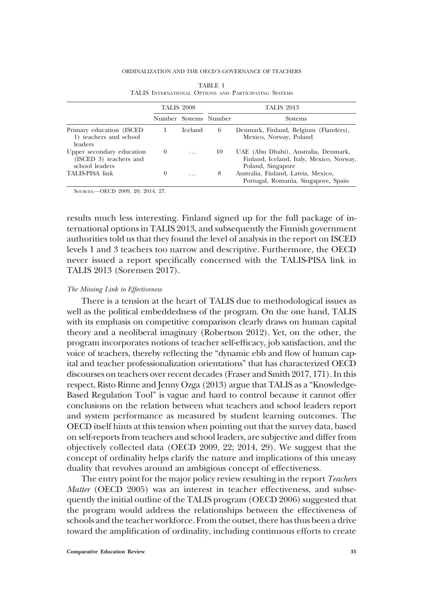#### ORDINALIZATION AND THE OECD'S GOVERNANCE OF TEACHERS

|                                                                       | <b>TALIS 2008</b> |          | <b>TALIS 2013</b>     |                                                                                                       |  |  |
|-----------------------------------------------------------------------|-------------------|----------|-----------------------|-------------------------------------------------------------------------------------------------------|--|--|
|                                                                       |                   |          | Number Systems Number | <b>Systems</b>                                                                                        |  |  |
| Primary education (ISCED<br>1) teachers and school<br>leaders         |                   | Iceland  | 6                     | Denmark, Finland, Belgium (Flanders),<br>Mexico, Norway, Poland                                       |  |  |
| Upper secondary education<br>(ISCED 3) teachers and<br>school leaders | $\theta$          | $\cdots$ | 10                    | UAE (Abu Dhabi), Australia, Denmark,<br>Finland, Iceland, Italy, Mexico, Norway,<br>Poland, Singapore |  |  |
| TALIS-PISA link                                                       | $_{0}$            | .        | 8                     | Australia, Finland, Latvia, Mexico,<br>Portugal, Romania, Singapore, Spain                            |  |  |

| TABLE 1 |                                                       |  |  |  |  |  |
|---------|-------------------------------------------------------|--|--|--|--|--|
|         | TALIS INTERNATIONAL OPTIONS AND PARTICIPATING SYSTEMS |  |  |  |  |  |

SOURCES.—OECD 2009, 20; 2014, 27.

results much less interesting. Finland signed up for the full package of international options in TALIS 2013, and subsequently the Finnish government authorities told us that they found the level of analysis in the report on ISCED levels 1 and 3 teachers too narrow and descriptive. Furthermore, the OECD never issued a report specifically concerned with the TALIS-PISA link in TALIS 2013 (Sorensen 2017).

## The Missing Link to Effectiveness

There is a tension at the heart of TALIS due to methodological issues as well as the political embeddedness of the program. On the one hand, TALIS with its emphasis on competitive comparison clearly draws on human capital theory and a neoliberal imaginary (Robertson 2012). Yet, on the other, the program incorporates notions of teacher self-efficacy, job satisfaction, and the voice of teachers, thereby reflecting the "dynamic ebb and flow of human capital and teacher professionalization orientations" that has characterized OECD discourses on teachers over recent decades (Fraser and Smith 2017, 171). In this respect, Risto Rinne and Jenny Ozga (2013) argue that TALIS as a "Knowledge-Based Regulation Tool" is vague and hard to control because it cannot offer conclusions on the relation between what teachers and school leaders report and system performance as measured by student learning outcomes. The OECD itself hints at this tension when pointing out that the survey data, based on self-reports from teachers and school leaders, are subjective and differ from objectively collected data (OECD 2009, 22; 2014, 29). We suggest that the concept of ordinality helps clarify the nature and implications of this uneasy duality that revolves around an ambigious concept of effectiveness.

The entry point for the major policy review resulting in the report *Teachers* Matter (OECD 2005) was an interest in teacher effectiveness, and subsequently the initial outline of the TALIS program (OECD 2006) suggested that the program would address the relationships between the effectiveness of schools and the teacher workforce. From the outset, there has thus been a drive toward the amplification of ordinality, including continuous efforts to create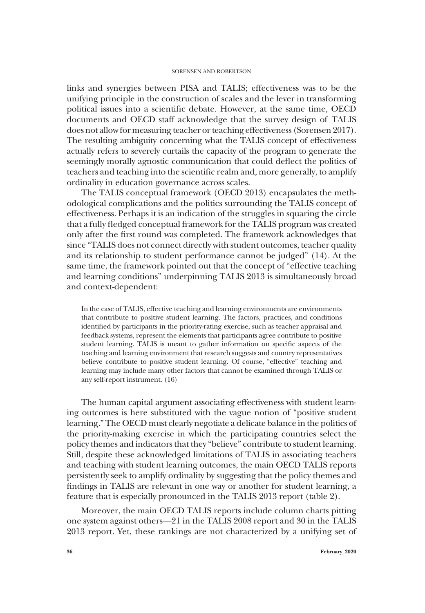links and synergies between PISA and TALIS; effectiveness was to be the unifying principle in the construction of scales and the lever in transforming political issues into a scientific debate. However, at the same time, OECD documents and OECD staff acknowledge that the survey design of TALIS does not allow for measuring teacher or teaching effectiveness (Sorensen 2017). The resulting ambiguity concerning what the TALIS concept of effectiveness actually refers to severely curtails the capacity of the program to generate the seemingly morally agnostic communication that could deflect the politics of teachers and teaching into the scientific realm and, more generally, to amplify ordinality in education governance across scales.

The TALIS conceptual framework (OECD 2013) encapsulates the methodological complications and the politics surrounding the TALIS concept of effectiveness. Perhaps it is an indication of the struggles in squaring the circle that a fully fledged conceptual framework for the TALIS program was created only after the first round was completed. The framework acknowledges that since "TALIS does not connect directly with student outcomes, teacher quality and its relationship to student performance cannot be judged" (14). At the same time, the framework pointed out that the concept of "effective teaching and learning conditions" underpinning TALIS 2013 is simultaneously broad and context-dependent:

In the case of TALIS, effective teaching and learning environments are environments that contribute to positive student learning. The factors, practices, and conditions identified by participants in the priority-rating exercise, such as teacher appraisal and feedback systems, represent the elements that participants agree contribute to positive student learning. TALIS is meant to gather information on specific aspects of the teaching and learning environment that research suggests and country representatives believe contribute to positive student learning. Of course, "effective" teaching and learning may include many other factors that cannot be examined through TALIS or any self-report instrument. (16)

The human capital argument associating effectiveness with student learning outcomes is here substituted with the vague notion of "positive student learning." The OECD must clearly negotiate a delicate balance in the politics of the priority-making exercise in which the participating countries select the policy themes and indicators that they "believe" contribute to student learning. Still, despite these acknowledged limitations of TALIS in associating teachers and teaching with student learning outcomes, the main OECD TALIS reports persistently seek to amplify ordinality by suggesting that the policy themes and findings in TALIS are relevant in one way or another for student learning, a feature that is especially pronounced in the TALIS 2013 report (table 2).

Moreover, the main OECD TALIS reports include column charts pitting one system against others—21 in the TALIS 2008 report and 30 in the TALIS 2013 report. Yet, these rankings are not characterized by a unifying set of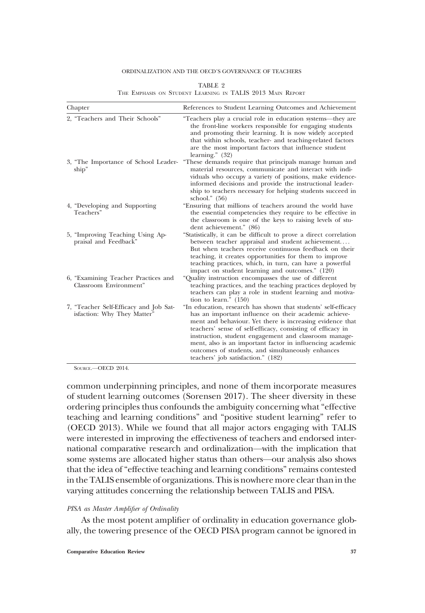### ORDINALIZATION AND THE OECD'S GOVERNANCE OF TEACHERS

## TABLE 2 THE EMPHASIS ON STUDENT LEARNING IN TALIS 2013 MAIN REPORT

| Chapter                                                               | References to Student Learning Outcomes and Achievement                                                                                                                                                                                                                                                                                                                                                                                                              |  |  |  |
|-----------------------------------------------------------------------|----------------------------------------------------------------------------------------------------------------------------------------------------------------------------------------------------------------------------------------------------------------------------------------------------------------------------------------------------------------------------------------------------------------------------------------------------------------------|--|--|--|
| 2, "Teachers and Their Schools"                                       | "Teachers play a crucial role in education systems—they are<br>the front-line workers responsible for engaging students<br>and promoting their learning. It is now widely accepted<br>that within schools, teacher- and teaching-related factors<br>are the most important factors that influence student<br>learning." $(32)$                                                                                                                                       |  |  |  |
| 3, "The Importance of School Leader-<br>ship"                         | "These demands require that principals manage human and<br>material resources, communicate and interact with indi-<br>viduals who occupy a variety of positions, make evidence-<br>informed decisions and provide the instructional leader-<br>ship to teachers necessary for helping students succeed in<br>school." $(56)$                                                                                                                                         |  |  |  |
| 4, "Developing and Supporting<br>Teachers"                            | "Ensuring that millions of teachers around the world have<br>the essential competencies they require to be effective in<br>the classroom is one of the keys to raising levels of stu-<br>dent achievement." (86)                                                                                                                                                                                                                                                     |  |  |  |
| 5, "Improving Teaching Using Ap-<br>praisal and Feedback"             | "Statistically, it can be difficult to prove a direct correlation<br>between teacher appraisal and student achievement<br>But when teachers receive continuous feedback on their<br>teaching, it creates opportunities for them to improve<br>teaching practices, which, in turn, can have a powerful<br>impact on student learning and outcomes." (120)                                                                                                             |  |  |  |
| 6, "Examining Teacher Practices and<br>Classroom Environment"         | "Quality instruction encompasses the use of different<br>teaching practices, and the teaching practices deployed by<br>teachers can play a role in student learning and motiva-<br>tion to learn." $(150)$                                                                                                                                                                                                                                                           |  |  |  |
| 7, "Teacher Self-Efficacy and Job Sat-<br>isfaction: Why They Matter" | "In education, research has shown that students' self-efficacy<br>has an important influence on their academic achieve-<br>ment and behaviour. Yet there is increasing evidence that<br>teachers' sense of self-efficacy, consisting of efficacy in<br>instruction, student engagement and classroom manage-<br>ment, also is an important factor in influencing academic<br>outcomes of students, and simultaneously enhances<br>teachers' job satisfaction." (182) |  |  |  |

SOURCE.—OECD 2014.

common underpinning principles, and none of them incorporate measures of student learning outcomes (Sorensen 2017). The sheer diversity in these ordering principles thus confounds the ambiguity concerning what "effective teaching and learning conditions" and "positive student learning" refer to (OECD 2013). While we found that all major actors engaging with TALIS were interested in improving the effectiveness of teachers and endorsed international comparative research and ordinalization—with the implication that some systems are allocated higher status than others—our analysis also shows that the idea of "effective teaching and learning conditions" remains contested in the TALIS ensemble of organizations. This is nowhere more clear than in the varying attitudes concerning the relationship between TALIS and PISA.

#### PISA as Master Amplifier of Ordinality

As the most potent amplifier of ordinality in education governance globally, the towering presence of the OECD PISA program cannot be ignored in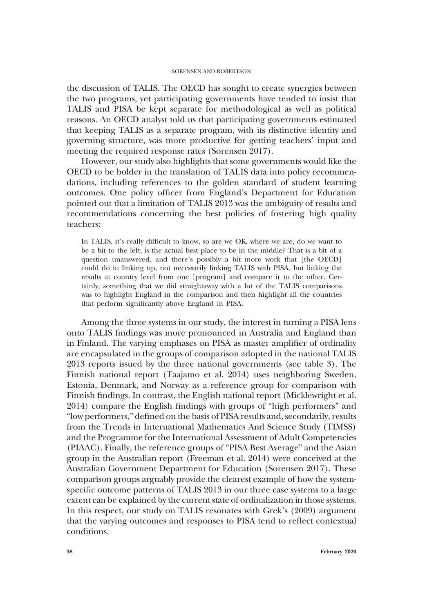the discussion of TALIS. The OECD has sought to create synergies between the two programs, yet participating governments have tended to insist that TALIS and PISA be kept separate for methodological as well as political reasons. An OECD analyst told us that participating governments estimated that keeping TALIS as a separate program, with its distinctive identity and governing structure, was more productive for getting teachers' input and meeting the required response rates (Sorensen 2017).

However, our study also highlights that some governments would like the OECD to be bolder in the translation of TALIS data into policy recommendations, including references to the golden standard of student learning outcomes. One policy officer from England's Department for Education pointed out that a limitation of TALIS 2013 was the ambiguity of results and recommendations concerning the best policies of fostering high quality teachers:

In TALIS, it's really difficult to know, so are we OK, where we are, do we want to be a bit to the left, is the actual best place to be in the middle? That is a bit of a question unanswered, and there's possibly a bit more work that [the OECD] could do in linking up, not necessarily linking TALIS with PISA, but linking the results at country level from one [program] and compare it to the other. Certainly, something that we did straightaway with a lot of the TALIS comparisons was to highlight England in the comparison and then highlight all the countries that perform significantly above England in PISA.

Among the three systems in our study, the interest in turning a PISA lens onto TALIS findings was more pronounced in Australia and England than in Finland. The varying emphases on PISA as master amplifier of ordinality are encapsulated in the groups of comparison adopted in the national TALIS 2013 reports issued by the three national governments (see table 3). The Finnish national report (Taajamo et al. 2014) uses neighboring Sweden, Estonia, Denmark, and Norway as a reference group for comparison with Finnish findings. In contrast, the English national report (Micklewright et al. 2014) compare the English findings with groups of "high performers" and "low performers," defined on the basis of PISA results and, secondarily, results from the Trends in International Mathematics And Science Study (TIMSS) and the Programme for the International Assessment of Adult Competencies (PIAAC). Finally, the reference groups of "PISA Best Average" and the Asian group in the Australian report (Freeman et al. 2014) were conceived at the Australian Government Department for Education (Sorensen 2017). These comparison groups arguably provide the clearest example of how the systemspecific outcome patterns of TALIS 2013 in our three case systems to a large extent can be explained by the current state of ordinalization in those systems. In this respect, our study on TALIS resonates with Grek's (2009) argument that the varying outcomes and responses to PISA tend to reflect contextual conditions.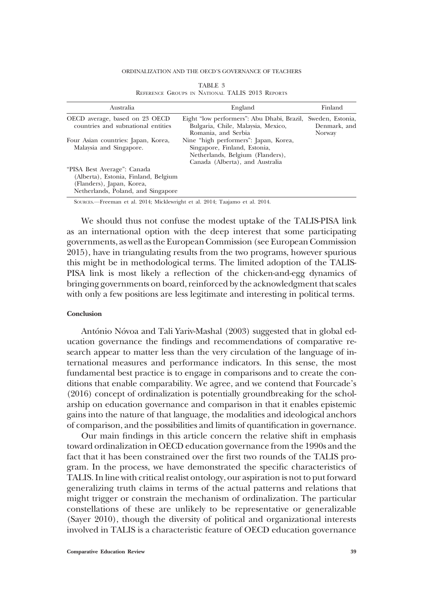#### ORDINALIZATION AND THE OECD'S GOVERNANCE OF TEACHERS

| Australia                                                                                                                              | England                                                                                                                                      | Finland                                    |  |
|----------------------------------------------------------------------------------------------------------------------------------------|----------------------------------------------------------------------------------------------------------------------------------------------|--------------------------------------------|--|
| OECD average, based on 23 OECD<br>countries and subnational entities                                                                   | Eight "low performers": Abu Dhabi, Brazil,<br>Bulgaria, Chile, Malaysia, Mexico,<br>Romania, and Serbia                                      | Sweden, Estonia,<br>Denmark, and<br>Norway |  |
| Four Asian countries: Japan, Korea,<br>Malaysia and Singapore.                                                                         | Nine "high performers": Japan, Korea,<br>Singapore, Finland, Estonia,<br>Netherlands, Belgium (Flanders),<br>Canada (Alberta), and Australia |                                            |  |
| "PISA Best Average": Canada<br>(Alberta), Estonia, Finland, Belgium<br>(Flanders), Japan, Korea,<br>Netherlands, Poland, and Singapore |                                                                                                                                              |                                            |  |

|                                                 |  | TABLE 3 |  |  |
|-------------------------------------------------|--|---------|--|--|
| REFERENCE GROUPS IN NATIONAL TALIS 2013 REPORTS |  |         |  |  |

SOURCES.—Freeman et al. 2014; Micklewright et al. 2014; Taajamo et al. 2014.

We should thus not confuse the modest uptake of the TALIS-PISA link as an international option with the deep interest that some participating governments, as well as the European Commission (see European Commission 2015), have in triangulating results from the two programs, however spurious this might be in methodological terms. The limited adoption of the TALIS-PISA link is most likely a reflection of the chicken-and-egg dynamics of bringing governments on board, reinforced by the acknowledgment that scales with only a few positions are less legitimate and interesting in political terms.

# Conclusion

António Nóvoa and Tali Yariv-Mashal (2003) suggested that in global education governance the findings and recommendations of comparative research appear to matter less than the very circulation of the language of international measures and performance indicators. In this sense, the most fundamental best practice is to engage in comparisons and to create the conditions that enable comparability. We agree, and we contend that Fourcade's (2016) concept of ordinalization is potentially groundbreaking for the scholarship on education governance and comparison in that it enables epistemic gains into the nature of that language, the modalities and ideological anchors of comparison, and the possibilities and limits of quantification in governance.

Our main findings in this article concern the relative shift in emphasis toward ordinalization in OECD education governance from the 1990s and the fact that it has been constrained over the first two rounds of the TALIS program. In the process, we have demonstrated the specific characteristics of TALIS. In line with critical realist ontology, our aspiration is not to put forward generalizing truth claims in terms of the actual patterns and relations that might trigger or constrain the mechanism of ordinalization. The particular constellations of these are unlikely to be representative or generalizable (Sayer 2010), though the diversity of political and organizational interests involved in TALIS is a characteristic feature of OECD education governance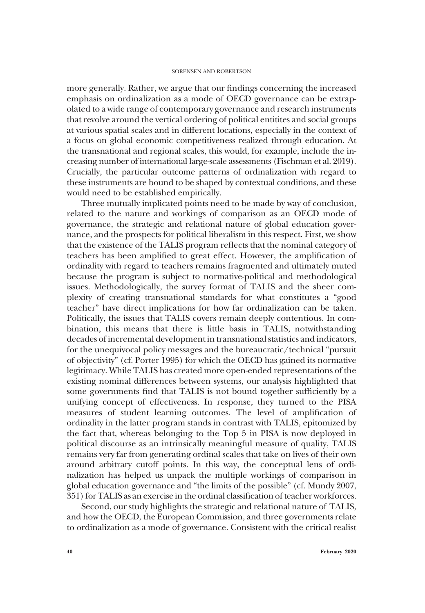more generally. Rather, we argue that our findings concerning the increased emphasis on ordinalization as a mode of OECD governance can be extrapolated to a wide range of contemporary governance and research instruments that revolve around the vertical ordering of political entitites and social groups at various spatial scales and in different locations, especially in the context of a focus on global economic competitiveness realized through education. At the transnational and regional scales, this would, for example, include the increasing number of international large-scale assessments (Fischman et al. 2019). Crucially, the particular outcome patterns of ordinalization with regard to these instruments are bound to be shaped by contextual conditions, and these would need to be established empirically.

Three mutually implicated points need to be made by way of conclusion, related to the nature and workings of comparison as an OECD mode of governance, the strategic and relational nature of global education governance, and the prospects for political liberalism in this respect. First, we show that the existence of the TALIS program reflects that the nominal category of teachers has been amplified to great effect. However, the amplification of ordinality with regard to teachers remains fragmented and ultimately muted because the program is subject to normative-political and methodological issues. Methodologically, the survey format of TALIS and the sheer complexity of creating transnational standards for what constitutes a "good teacher" have direct implications for how far ordinalization can be taken. Politically, the issues that TALIS covers remain deeply contentious. In combination, this means that there is little basis in TALIS, notwithstanding decades of incremental development in transnational statistics and indicators, for the unequivocal policy messages and the bureaucratic/technical "pursuit of objectivity" (cf. Porter 1995) for which the OECD has gained its normative legitimacy. While TALIS has created more open-ended representations of the existing nominal differences between systems, our analysis highlighted that some governments find that TALIS is not bound together sufficiently by a unifying concept of effectiveness. In response, they turned to the PISA measures of student learning outcomes. The level of amplification of ordinality in the latter program stands in contrast with TALIS, epitomized by the fact that, whereas belonging to the Top 5 in PISA is now deployed in political discourse as an intrinsically meaningful measure of quality, TALIS remains very far from generating ordinal scales that take on lives of their own around arbitrary cutoff points. In this way, the conceptual lens of ordinalization has helped us unpack the multiple workings of comparison in global education governance and "the limits of the possible" (cf. Mundy 2007, 351) for TALIS as an exercise in the ordinal classification of teacher workforces.

Second, our study highlights the strategic and relational nature of TALIS, and how the OECD, the European Commission, and three governments relate to ordinalization as a mode of governance. Consistent with the critical realist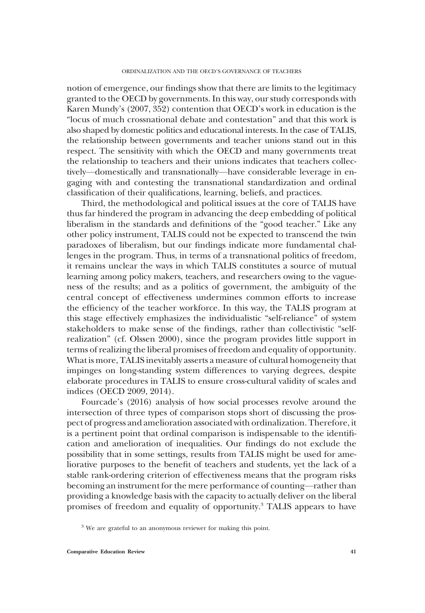notion of emergence, our findings show that there are limits to the legitimacy granted to the OECD by governments. In this way, our study corresponds with Karen Mundy's (2007, 352) contention that OECD's work in education is the "locus of much crossnational debate and contestation" and that this work is also shaped by domestic politics and educational interests. In the case of TALIS, the relationship between governments and teacher unions stand out in this respect. The sensitivity with which the OECD and many governments treat the relationship to teachers and their unions indicates that teachers collectively—domestically and transnationally—have considerable leverage in engaging with and contesting the transnational standardization and ordinal classification of their qualifications, learning, beliefs, and practices.

Third, the methodological and political issues at the core of TALIS have thus far hindered the program in advancing the deep embedding of political liberalism in the standards and definitions of the "good teacher." Like any other policy instrument, TALIS could not be expected to transcend the twin paradoxes of liberalism, but our findings indicate more fundamental challenges in the program. Thus, in terms of a transnational politics of freedom, it remains unclear the ways in which TALIS constitutes a source of mutual learning among policy makers, teachers, and researchers owing to the vagueness of the results; and as a politics of government, the ambiguity of the central concept of effectiveness undermines common efforts to increase the efficiency of the teacher workforce. In this way, the TALIS program at this stage effectively emphasizes the individualistic "self-reliance" of system stakeholders to make sense of the findings, rather than collectivistic "selfrealization" (cf. Olssen 2000), since the program provides little support in terms of realizing the liberal promises of freedom and equality of opportunity. What is more, TALIS inevitably asserts a measure of cultural homogeneity that impinges on long-standing system differences to varying degrees, despite elaborate procedures in TALIS to ensure cross-cultural validity of scales and indices (OECD 2009, 2014).

Fourcade's (2016) analysis of how social processes revolve around the intersection of three types of comparison stops short of discussing the prospect of progress and amelioration associated with ordinalization. Therefore, it is a pertinent point that ordinal comparison is indispensable to the identification and amelioration of inequalities. Our findings do not exclude the possibility that in some settings, results from TALIS might be used for ameliorative purposes to the benefit of teachers and students, yet the lack of a stable rank-ordering criterion of effectiveness means that the program risks becoming an instrument for the mere performance of counting—rather than providing a knowledge basis with the capacity to actually deliver on the liberal promises of freedom and equality of opportunity.3 TALIS appears to have

<sup>&</sup>lt;sup>3</sup> We are grateful to an anonymous reviewer for making this point.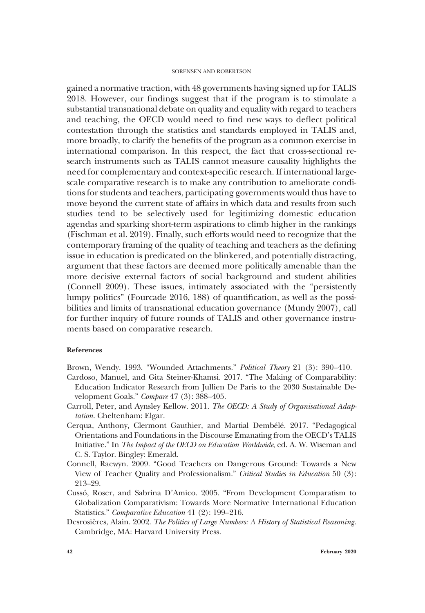gained a normative traction, with 48 governments having signed up for TALIS 2018. However, our findings suggest that if the program is to stimulate a substantial transnational debate on quality and equality with regard to teachers and teaching, the OECD would need to find new ways to deflect political contestation through the statistics and standards employed in TALIS and, more broadly, to clarify the benefits of the program as a common exercise in international comparison. In this respect, the fact that cross-sectional research instruments such as TALIS cannot measure causality highlights the need for complementary and context-specific research. If international largescale comparative research is to make any contribution to ameliorate conditions for students and teachers, participating governments would thus have to move beyond the current state of affairs in which data and results from such studies tend to be selectively used for legitimizing domestic education agendas and sparking short-term aspirations to climb higher in the rankings (Fischman et al. 2019). Finally, such efforts would need to recognize that the contemporary framing of the quality of teaching and teachers as the defining issue in education is predicated on the blinkered, and potentially distracting, argument that these factors are deemed more politically amenable than the more decisive external factors of social background and student abilities (Connell 2009). These issues, intimately associated with the "persistently lumpy politics" (Fourcade 2016, 188) of quantification, as well as the possibilities and limits of transnational education governance (Mundy 2007), call for further inquiry of future rounds of TALIS and other governance instruments based on comparative research.

# References

Brown, Wendy. 1993. "Wounded Attachments." Political Theory 21 (3): 390–410.

- Cardoso, Manuel, and Gita Steiner-Khamsi. 2017. "The Making of Comparability: Education Indicator Research from Jullien De Paris to the 2030 Sustainable Development Goals." Compare 47 (3): 388-405.
- Carroll, Peter, and Aynsley Kellow. 2011. The OECD: A Study of Organisational Adaptation. Cheltenham: Elgar.
- Cerqua, Anthony, Clermont Gauthier, and Martial Dembélé. 2017. "Pedagogical Orientations and Foundations in the Discourse Emanating from the OECD's TALIS Initiative." In The Impact of the OECD on Education Worldwide, ed. A. W. Wiseman and C. S. Taylor. Bingley: Emerald.
- Connell, Raewyn. 2009. "Good Teachers on Dangerous Ground: Towards a New View of Teacher Quality and Professionalism." Critical Studies in Education 50 (3): 213–29.
- Cussó, Roser, and Sabrina D'Amico. 2005. "From Development Comparatism to Globalization Comparativism: Towards More Normative International Education Statistics." Comparative Education 41 (2): 199-216.
- Desrosières, Alain. 2002. The Politics of Large Numbers: A History of Statistical Reasoning. Cambridge, MA: Harvard University Press.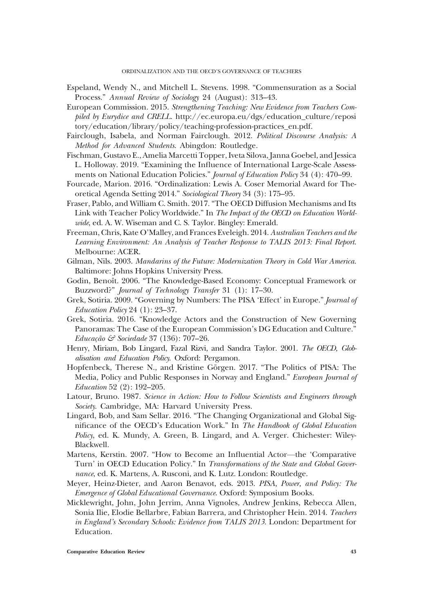- Espeland, Wendy N., and Mitchell L. Stevens. 1998. "Commensuration as a Social Process." Annual Review of Sociology 24 (August): 313–43.
- European Commission. 2015. Strengthening Teaching: New Evidence from Teachers Compiled by Eurydice and CRELL. http://ec.europa.eu/dgs/education\_culture/reposi tory/education/library/policy/teaching-profession-practices\_en.pdf.
- Fairclough, Isabela, and Norman Fairclough. 2012. Political Discourse Analysis: A Method for Advanced Students. Abingdon: Routledge.
- Fischman, Gustavo E., Amelia Marcetti Topper, Iveta Silova, Janna Goebel, and Jessica L. Holloway. 2019. "Examining the Influence of International Large-Scale Assessments on National Education Policies." Journal of Education Policy 34 (4): 470-99.
- Fourcade, Marion. 2016. "Ordinalization: Lewis A. Coser Memorial Award for Theoretical Agenda Setting 2014." Sociological Theory 34 (3): 175–95.
- Fraser, Pablo, and William C. Smith. 2017. "The OECD Diffusion Mechanisms and Its Link with Teacher Policy Worldwide." In The Impact of the OECD on Education Worldwide, ed. A. W. Wiseman and C. S. Taylor. Bingley: Emerald.
- Freeman, Chris, Kate O'Malley, and Frances Eveleigh. 2014. Australian Teachers and the Learning Environment: An Analysis of Teacher Response to TALIS 2013: Final Report. Melbourne: ACER.
- Gilman, Nils. 2003. Mandarins of the Future: Modernization Theory in Cold War America. Baltimore: Johns Hopkins University Press.
- Godin, Benoît. 2006. "The Knowledge-Based Economy: Conceptual Framework or Buzzword?" *Journal of Technology Transfer* 31 (1): 17-30.
- Grek, Sotiria. 2009. "Governing by Numbers: The PISA 'Effect' in Europe." Journal of Education Policy 24 (1): 23–37.
- Grek, Sotiria. 2016. "Knowledge Actors and the Construction of New Governing Panoramas: The Case of the European Commission's DG Education and Culture." Educação & Sociedade 37 (136): 707–26.
- Henry, Miriam, Bob Lingard, Fazal Rizvi, and Sandra Taylor. 2001. The OECD, Globalisation and Education Policy. Oxford: Pergamon.
- Hopfenbeck, Therese N., and Kristine Görgen. 2017. "The Politics of PISA: The Media, Policy and Public Responses in Norway and England." *European Journal of* Education 52 (2): 192–205.
- Latour, Bruno. 1987. Science in Action: How to Follow Scientists and Engineers through Society. Cambridge, MA: Harvard University Press.
- Lingard, Bob, and Sam Sellar. 2016. "The Changing Organizational and Global Significance of the OECD's Education Work." In The Handbook of Global Education Policy, ed. K. Mundy, A. Green, B. Lingard, and A. Verger. Chichester: Wiley-Blackwell.
- Martens, Kerstin. 2007. "How to Become an Influential Actor—the 'Comparative Turn' in OECD Education Policy." In Transformations of the State and Global Governance, ed. K. Martens, A. Rusconi, and K. Lutz. London: Routledge.
- Meyer, Heinz-Dieter, and Aaron Benavot, eds. 2013. PISA, Power, and Policy: The Emergence of Global Educational Governance. Oxford: Symposium Books.
- Micklewright, John, John Jerrim, Anna Vignoles, Andrew Jenkins, Rebecca Allen, Sonia Ilie, Elodie Bellarbre, Fabian Barrera, and Christopher Hein. 2014. Teachers in England's Secondary Schools: Evidence from TALIS 2013. London: Department for Education.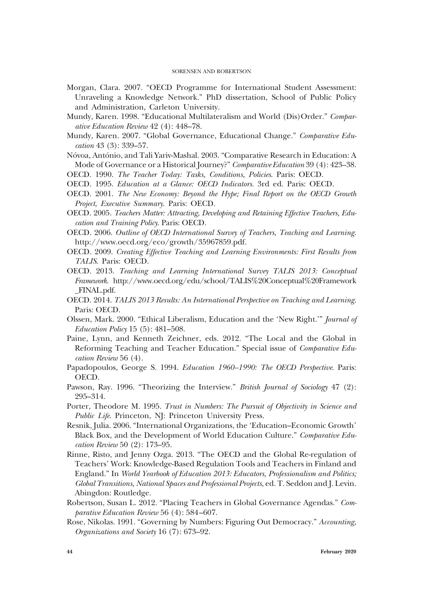- Morgan, Clara. 2007. "OECD Programme for International Student Assessment: Unraveling a Knowledge Network." PhD dissertation, School of Public Policy and Administration, Carleton University.
- Mundy, Karen. 1998. "Educational Multilateralism and World (Dis)Order." Comparative Education Review 42 (4): 448–78.
- Mundy, Karen. 2007. "Global Governance, Educational Change." Comparative Education 43 (3): 339–57.
- Nóvoa, António, and Tali Yariv-Mashal. 2003. "Comparative Research in Education: A Mode of Governance or a Historical Journey?" Comparative Education 39 (4): 423–38.
- OECD. 1990. The Teacher Today: Tasks, Conditions, Policies. Paris: OECD.
- OECD. 1995. Education at a Glance: OECD Indicators. 3rd ed. Paris: OECD.
- OECD. 2001. The New Economy: Beyond the Hype; Final Report on the OECD Growth Project, Executive Summary. Paris: OECD.
- OECD. 2005. Teachers Matter: Attracting, Developing and Retaining Effective Teachers, Education and Training Policy. Paris: OECD.
- OECD. 2006. Outline of OECD International Survey of Teachers, Teaching and Learning. http://www.oecd.org/eco/growth/35967859.pdf.
- OECD. 2009. Creating Effective Teaching and Learning Environments: First Results from TALIS. Paris: OECD.
- OECD. 2013. Teaching and Learning International Survey TALIS 2013: Conceptual Framework. http://www.oecd.org/edu/school/TALIS%20Conceptual%20Framework \_FINAL.pdf.
- OECD. 2014. TALIS 2013 Results: An International Perspective on Teaching and Learning. Paris: OECD.
- Olssen, Mark. 2000. "Ethical Liberalism, Education and the 'New Right.'" Journal of Education Policy 15 (5): 481–508.
- Paine, Lynn, and Kenneth Zeichner, eds. 2012. "The Local and the Global in Reforming Teaching and Teacher Education." Special issue of Comparative Education Review 56 (4).
- Papadopoulos, George S. 1994. Education 1960–1990: The OECD Perspective. Paris: OECD.
- Pawson, Ray. 1996. "Theorizing the Interview." British Journal of Sociology 47 (2): 295–314.
- Porter, Theodore M. 1995. Trust in Numbers: The Pursuit of Objectivity in Science and Public Life. Princeton, NJ: Princeton University Press.
- Resnik, Julia. 2006. "International Organizations, the 'Education–Economic Growth' Black Box, and the Development of World Education Culture." Comparative Education Review 50 (2): 173–95.
- Rinne, Risto, and Jenny Ozga. 2013. "The OECD and the Global Re-regulation of Teachers' Work: Knowledge-Based Regulation Tools and Teachers in Finland and England." In World Yearbook of Education 2013: Educators, Professionalism and Politics; Global Transitions, National Spaces and Professional Projects, ed. T. Seddon and J. Levin. Abingdon: Routledge.
- Robertson, Susan L. 2012. "Placing Teachers in Global Governance Agendas." Comparative Education Review 56 (4): 584–607.
- Rose, Nikolas. 1991. "Governing by Numbers: Figuring Out Democracy." Accounting, Organizations and Society 16 (7): 673–92.